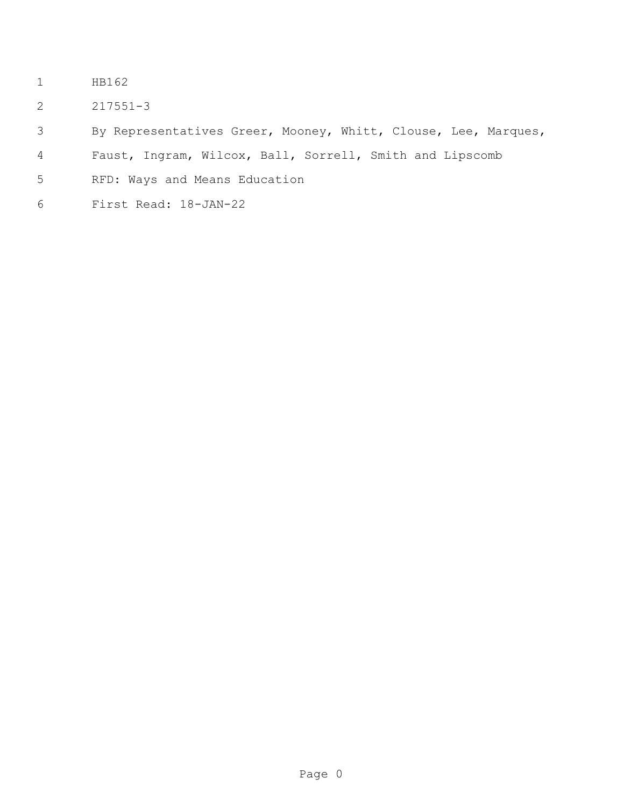- HB162
- 217551-3

By Representatives Greer, Mooney, Whitt, Clouse, Lee, Marques,

- Faust, Ingram, Wilcox, Ball, Sorrell, Smith and Lipscomb
- RFD: Ways and Means Education
- First Read: 18-JAN-22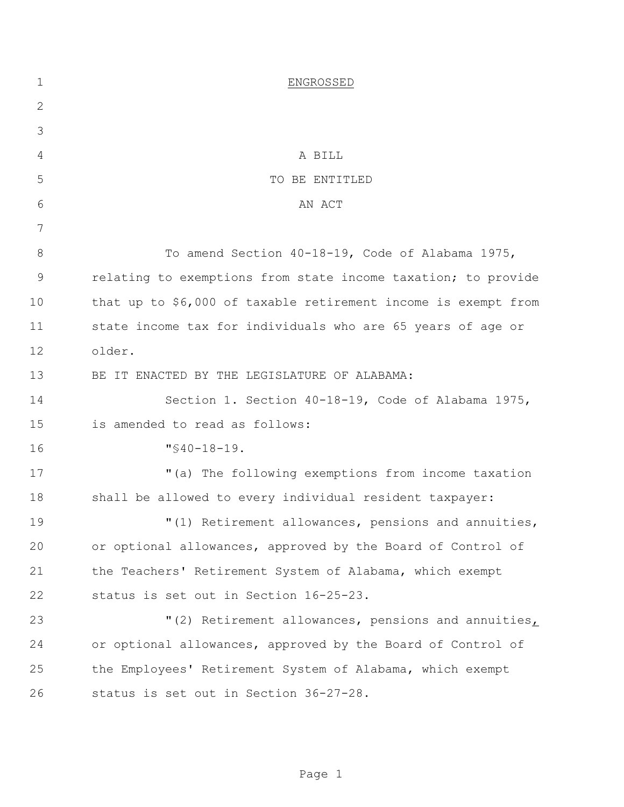| $\mathbf 1$ | ENGROSSED                                                      |
|-------------|----------------------------------------------------------------|
| 2           |                                                                |
| 3           |                                                                |
| 4           | A BILL                                                         |
| 5           | TO BE ENTITLED                                                 |
| 6           | AN ACT                                                         |
| 7           |                                                                |
| 8           | To amend Section 40-18-19, Code of Alabama 1975,               |
| 9           | relating to exemptions from state income taxation; to provide  |
| 10          | that up to \$6,000 of taxable retirement income is exempt from |
| 11          | state income tax for individuals who are 65 years of age or    |
| 12          | older.                                                         |
| 13          | BE IT ENACTED BY THE LEGISLATURE OF ALABAMA:                   |
| 14          | Section 1. Section 40-18-19, Code of Alabama 1975,             |
| 15          | is amended to read as follows:                                 |
| 16          | $"$ \$40-18-19.                                                |
| 17          | "(a) The following exemptions from income taxation             |
| 18          | shall be allowed to every individual resident taxpayer:        |
| 19          | "(1) Retirement allowances, pensions and annuities,            |
| 20          | or optional allowances, approved by the Board of Control of    |
| 21          | the Teachers' Retirement System of Alabama, which exempt       |
| 22          | status is set out in Section 16-25-23.                         |
| 23          | "(2) Retirement allowances, pensions and annuities,            |
| 24          | or optional allowances, approved by the Board of Control of    |
| 25          | the Employees' Retirement System of Alabama, which exempt      |
| 26          | status is set out in Section 36-27-28.                         |
|             |                                                                |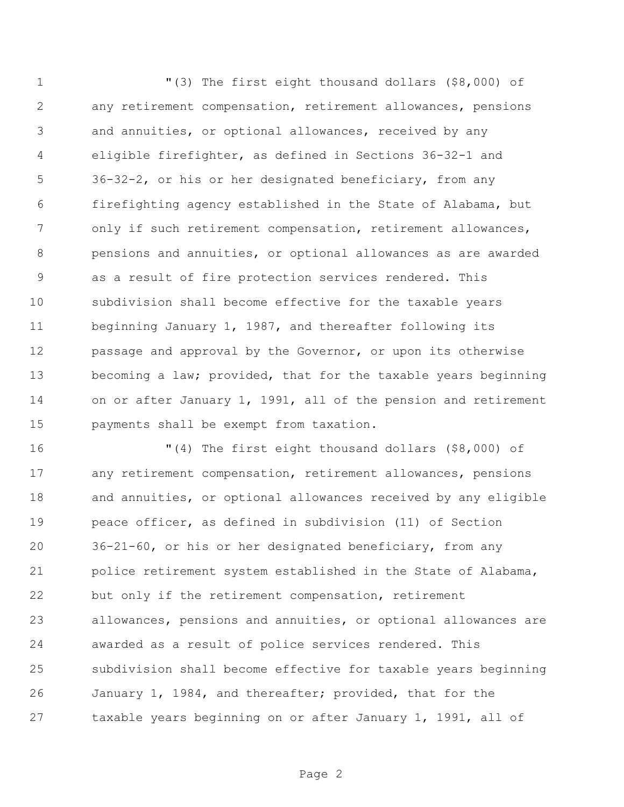"(3) The first eight thousand dollars (\$8,000) of any retirement compensation, retirement allowances, pensions and annuities, or optional allowances, received by any eligible firefighter, as defined in Sections 36-32-1 and 36-32-2, or his or her designated beneficiary, from any firefighting agency established in the State of Alabama, but only if such retirement compensation, retirement allowances, pensions and annuities, or optional allowances as are awarded as a result of fire protection services rendered. This subdivision shall become effective for the taxable years beginning January 1, 1987, and thereafter following its passage and approval by the Governor, or upon its otherwise becoming a law; provided, that for the taxable years beginning on or after January 1, 1991, all of the pension and retirement payments shall be exempt from taxation.

 "(4) The first eight thousand dollars (\$8,000) of any retirement compensation, retirement allowances, pensions 18 and annuities, or optional allowances received by any eligible peace officer, as defined in subdivision (11) of Section 36-21-60, or his or her designated beneficiary, from any police retirement system established in the State of Alabama, but only if the retirement compensation, retirement allowances, pensions and annuities, or optional allowances are awarded as a result of police services rendered. This subdivision shall become effective for taxable years beginning January 1, 1984, and thereafter; provided, that for the taxable years beginning on or after January 1, 1991, all of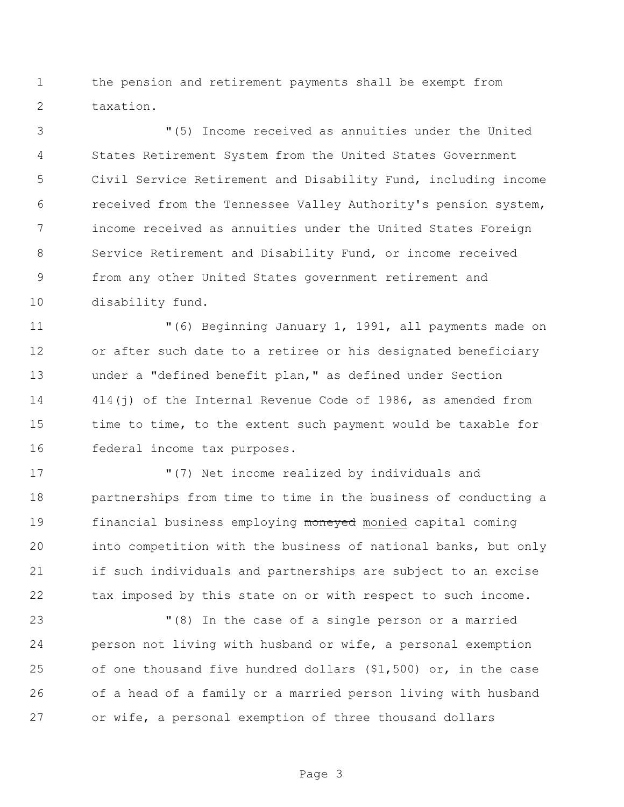the pension and retirement payments shall be exempt from taxation.

 "(5) Income received as annuities under the United States Retirement System from the United States Government Civil Service Retirement and Disability Fund, including income received from the Tennessee Valley Authority's pension system, income received as annuities under the United States Foreign Service Retirement and Disability Fund, or income received from any other United States government retirement and disability fund.

 "(6) Beginning January 1, 1991, all payments made on or after such date to a retiree or his designated beneficiary under a "defined benefit plan," as defined under Section 414(j) of the Internal Revenue Code of 1986, as amended from 15 time to time, to the extent such payment would be taxable for federal income tax purposes.

 "(7) Net income realized by individuals and partnerships from time to time in the business of conducting a 19 financial business employing moneyed monied capital coming into competition with the business of national banks, but only if such individuals and partnerships are subject to an excise 22 tax imposed by this state on or with respect to such income.

 "(8) In the case of a single person or a married person not living with husband or wife, a personal exemption of one thousand five hundred dollars (\$1,500) or, in the case of a head of a family or a married person living with husband or wife, a personal exemption of three thousand dollars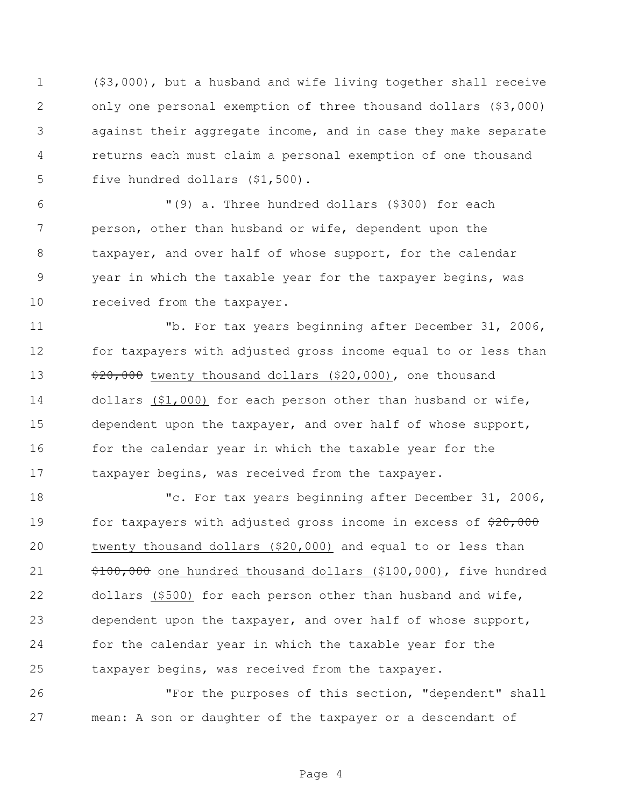(\$3,000), but a husband and wife living together shall receive only one personal exemption of three thousand dollars (\$3,000) against their aggregate income, and in case they make separate returns each must claim a personal exemption of one thousand five hundred dollars (\$1,500).

 "(9) a. Three hundred dollars (\$300) for each person, other than husband or wife, dependent upon the taxpayer, and over half of whose support, for the calendar year in which the taxable year for the taxpayer begins, was 10 received from the taxpayer.

 "b. For tax years beginning after December 31, 2006, for taxpayers with adjusted gross income equal to or less than  $\frac{13}{20,000}$  twenty thousand dollars (\$20,000), one thousand dollars (\$1,000) for each person other than husband or wife, dependent upon the taxpayer, and over half of whose support, 16 for the calendar year in which the taxable year for the taxpayer begins, was received from the taxpayer.

 "c. For tax years beginning after December 31, 2006, 19 for taxpayers with adjusted gross income in excess of  $\frac{20,000}{20}$  twenty thousand dollars (\$20,000) and equal to or less than \$100,000 one hundred thousand dollars (\$100,000), five hundred dollars (\$500) for each person other than husband and wife, dependent upon the taxpayer, and over half of whose support, for the calendar year in which the taxable year for the taxpayer begins, was received from the taxpayer.

 "For the purposes of this section, "dependent" shall mean: A son or daughter of the taxpayer or a descendant of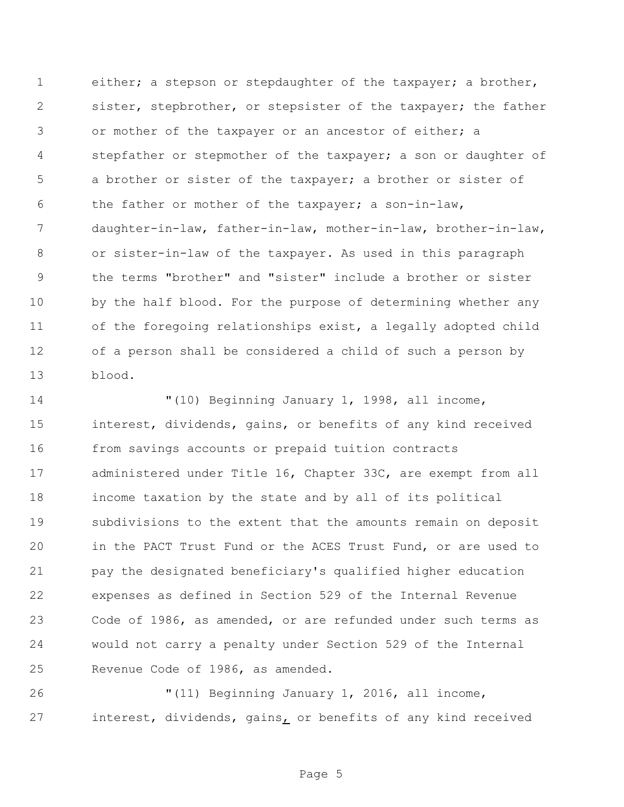either; a stepson or stepdaughter of the taxpayer; a brother, sister, stepbrother, or stepsister of the taxpayer; the father or mother of the taxpayer or an ancestor of either; a stepfather or stepmother of the taxpayer; a son or daughter of a brother or sister of the taxpayer; a brother or sister of the father or mother of the taxpayer; a son-in-law, daughter-in-law, father-in-law, mother-in-law, brother-in-law, or sister-in-law of the taxpayer. As used in this paragraph the terms "brother" and "sister" include a brother or sister by the half blood. For the purpose of determining whether any of the foregoing relationships exist, a legally adopted child of a person shall be considered a child of such a person by blood.

 "(10) Beginning January 1, 1998, all income, interest, dividends, gains, or benefits of any kind received from savings accounts or prepaid tuition contracts administered under Title 16, Chapter 33C, are exempt from all income taxation by the state and by all of its political subdivisions to the extent that the amounts remain on deposit in the PACT Trust Fund or the ACES Trust Fund, or are used to pay the designated beneficiary's qualified higher education expenses as defined in Section 529 of the Internal Revenue Code of 1986, as amended, or are refunded under such terms as would not carry a penalty under Section 529 of the Internal Revenue Code of 1986, as amended.

 "(11) Beginning January 1, 2016, all income, interest, dividends, gains, or benefits of any kind received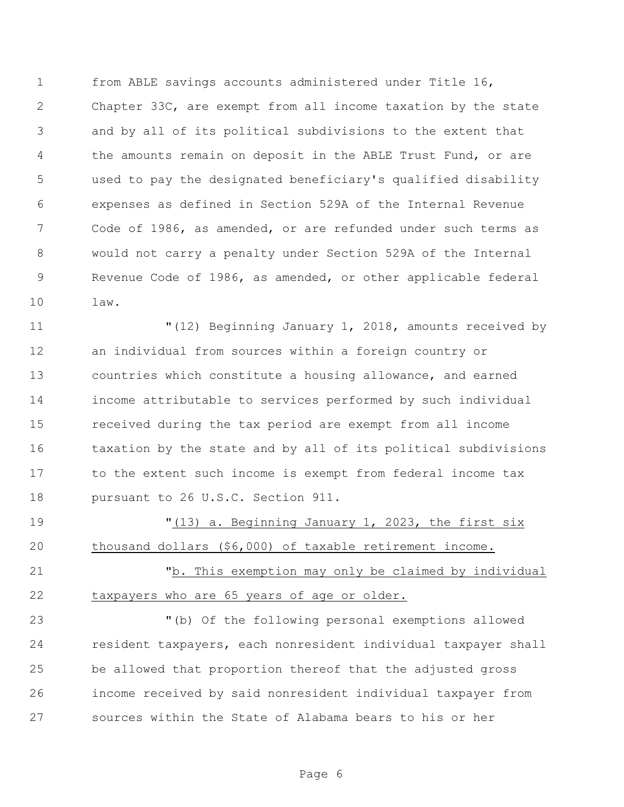from ABLE savings accounts administered under Title 16, Chapter 33C, are exempt from all income taxation by the state and by all of its political subdivisions to the extent that the amounts remain on deposit in the ABLE Trust Fund, or are used to pay the designated beneficiary's qualified disability expenses as defined in Section 529A of the Internal Revenue Code of 1986, as amended, or are refunded under such terms as would not carry a penalty under Section 529A of the Internal Revenue Code of 1986, as amended, or other applicable federal law.

 "(12) Beginning January 1, 2018, amounts received by an individual from sources within a foreign country or countries which constitute a housing allowance, and earned income attributable to services performed by such individual received during the tax period are exempt from all income taxation by the state and by all of its political subdivisions to the extent such income is exempt from federal income tax 18 pursuant to 26 U.S.C. Section 911.

 "(13) a. Beginning January 1, 2023, the first six thousand dollars (\$6,000) of taxable retirement income.

 "b. This exemption may only be claimed by individual taxpayers who are 65 years of age or older.

 "(b) Of the following personal exemptions allowed resident taxpayers, each nonresident individual taxpayer shall be allowed that proportion thereof that the adjusted gross income received by said nonresident individual taxpayer from sources within the State of Alabama bears to his or her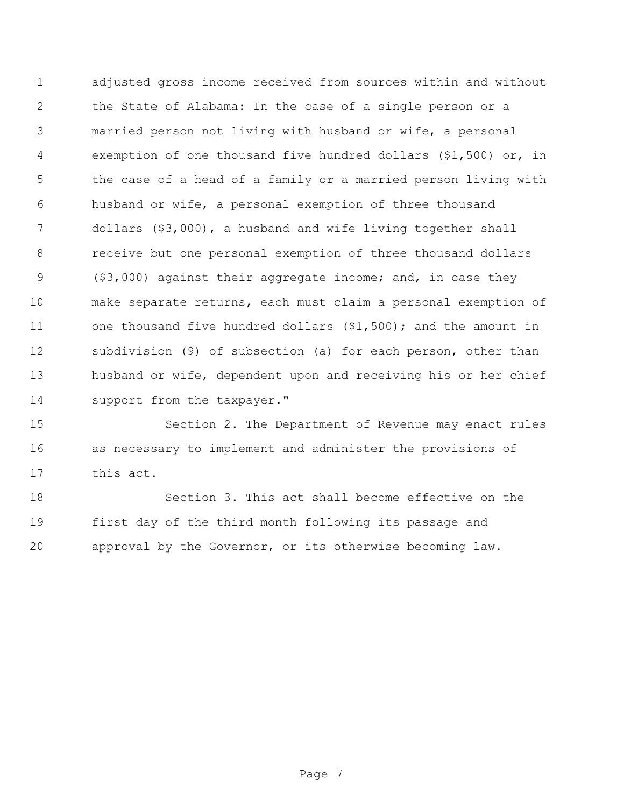adjusted gross income received from sources within and without the State of Alabama: In the case of a single person or a married person not living with husband or wife, a personal exemption of one thousand five hundred dollars (\$1,500) or, in the case of a head of a family or a married person living with husband or wife, a personal exemption of three thousand dollars (\$3,000), a husband and wife living together shall receive but one personal exemption of three thousand dollars (\$3,000) against their aggregate income; and, in case they make separate returns, each must claim a personal exemption of 11 one thousand five hundred dollars (\$1,500); and the amount in subdivision (9) of subsection (a) for each person, other than husband or wife, dependent upon and receiving his or her chief 14 support from the taxpayer."

 Section 2. The Department of Revenue may enact rules as necessary to implement and administer the provisions of this act.

 Section 3. This act shall become effective on the first day of the third month following its passage and approval by the Governor, or its otherwise becoming law.